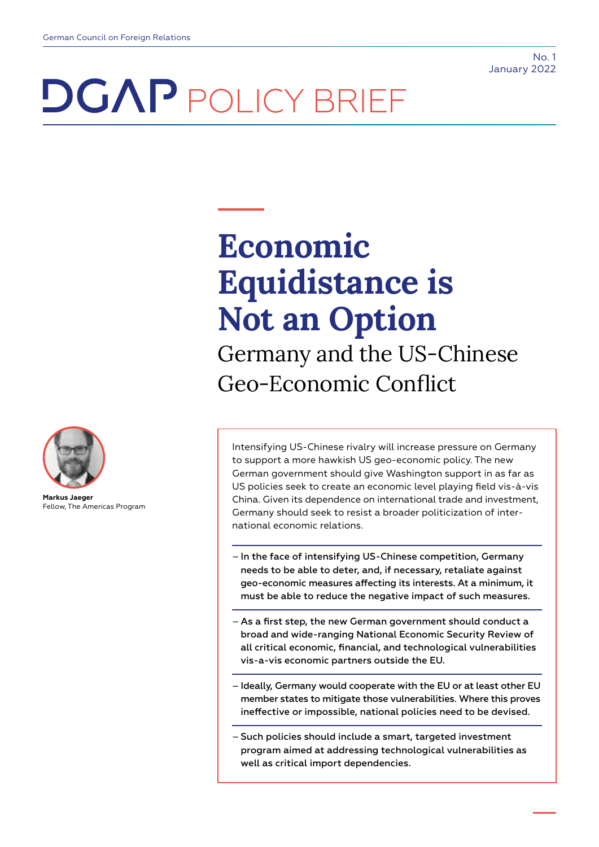# **DGAP** POLICY BRIEF



**Markus Jaeger** Fellow, The Americas Program

## **Economic Equidistance is Not an Option** Germany and the US-Chinese Geo-Economic Conflict

Intensifying US-Chinese rivalry will increase pressure on Germany to support a more hawkish US geo-economic policy. The new German government should give Washington support in as far as US policies seek to create an economic level playing field vis-à-vis China. Given its dependence on international trade and investment, Germany should seek to resist a broader politicization of international economic relations.

- In the face of intensifying US-Chinese competition, Germany needs to be able to deter, and, if necessary, retaliate against geo-economic measures affecting its interests. At a minimum, it must be able to reduce the negative impact of such measures.
- As a first step, the new German government should conduct a broad and wide-ranging National Economic Security Review of all critical economic, financial, and technological vulnerabilities vis-a-vis economic partners outside the EU.
- Ideally, Germany would cooperate with the EU or at least other EU member states to mitigate those vulnerabilities. Where this proves ineffective or impossible, national policies need to be devised.
- Such policies should include a smart, targeted investment program aimed at addressing technological vulnerabilities as well as critical import dependencies.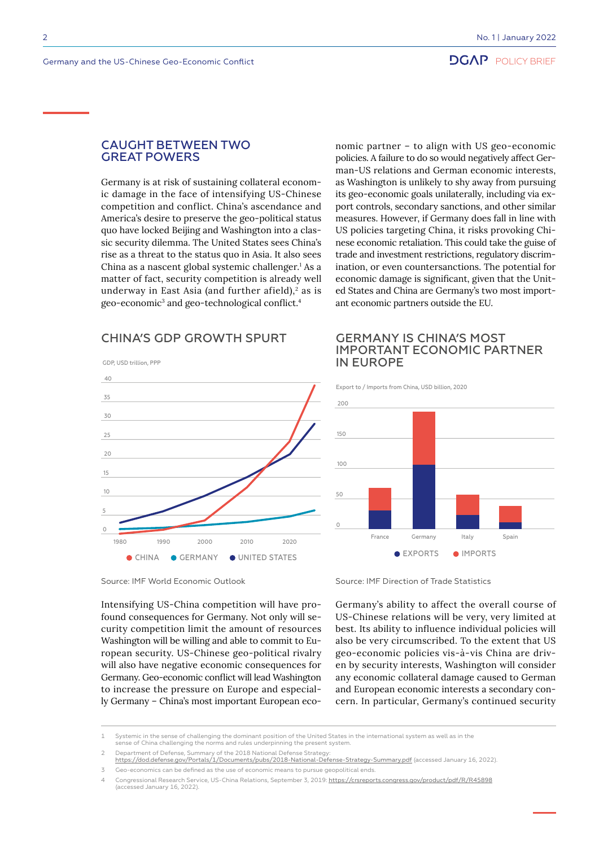#### CAUGHT BETWEEN TWO GREAT POWERS

Germany is at risk of sustaining collateral economic damage in the face of intensifying US-Chinese competition and conflict. China's ascendance and America's desire to preserve the geo-political status quo have locked Beijing and Washington into a classic security dilemma. The United States sees China's rise as a threat to the status quo in Asia. It also sees China as a nascent global systemic challenger.<sup>1</sup> As a matter of fact, security competition is already well underway in East Asia (and further afield), $2$  as is geo-economic<sup>3</sup> and geo-technological conflict.<sup>4</sup>

nomic partner – to align with US geo-economic policies. A failure to do so would negatively affect German-US relations and German economic interests, as Washington is unlikely to shy away from pursuing its geo-economic goals unilaterally, including via export controls, secondary sanctions, and other similar measures. However, if Germany does fall in line with US policies targeting China, it risks provoking Chinese economic retaliation. This could take the guise of trade and investment restrictions, regulatory discrimination, or even countersanctions. The potential for economic damage is significant, given that the United States and China are Germany's two most important economic partners outside the EU.

## CHINA'S GDP GROWTH SPURT



Source: IMF World Economic Outlook

Intensifying US-China competition will have profound consequences for Germany. Not only will security competition limit the amount of resources Washington will be willing and able to commit to European security. US-Chinese geo-political rivalry will also have negative economic consequences for Germany. Geo-economic conflict will lead Washington to increase the pressure on Europe and especially Germany – China's most important European eco-

200 Export to / Imports from China, USD billion, 2020

IN EUROPE

GERMANY IS CHINA'S MOST

IMPORTANT ECONOMIC PARTNER



Source: IMF Direction of Trade Statistics

Germany's ability to affect the overall course of US-Chinese relations will be very, very limited at best. Its ability to influence individual policies will also be very circumscribed. To the extent that US geo-economic policies vis-à-vis China are driven by security interests, Washington will consider any economic collateral damage caused to German and European economic interests a secondary concern. In particular, Germany's continued security

<sup>1</sup> Systemic in the sense of challenging the dominant position of the United States in the international system as well as in the sense of China challenging the norms and rules underpinning the present system.

<sup>2</sup> Department of Defense, Summary of the 2018 National Defense Strategy:

<https://dod.defense.gov/Portals/1/Documents/pubs/2018-National-Defense-Strategy-Summary.pdf>(accessed January 16, 2022).

<sup>3</sup> Geo-economics can be defined as the use of economic means to pursue geopolitical ends.

Congressional Research Service, US-China Relations, September 3, 2019: <https://crsreports.congress.gov/product/pdf/R/R45898> (accessed January 16, 2022).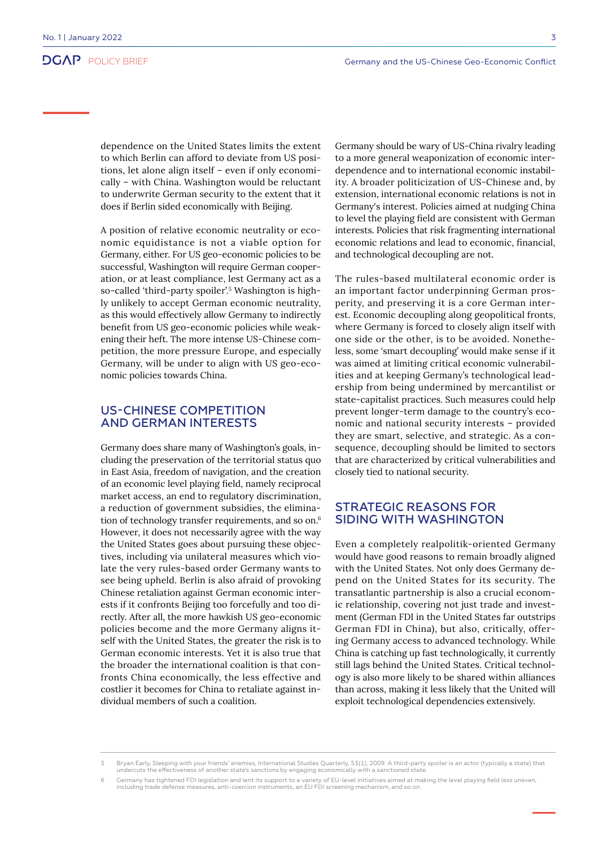dependence on the United States limits the extent to which Berlin can afford to deviate from US positions, let alone align itself – even if only economically – with China. Washington would be reluctant to underwrite German security to the extent that it does if Berlin sided economically with Beijing.

A position of relative economic neutrality or economic equidistance is not a viable option for Germany, either. For US geo-economic policies to be successful, Washington will require German cooperation, or at least compliance, lest Germany act as a so-called 'third-party spoiler'.5 Washington is highly unlikely to accept German economic neutrality, as this would effectively allow Germany to indirectly benefit from US geo-economic policies while weakening their heft. The more intense US-Chinese competition, the more pressure Europe, and especially Germany, will be under to align with US geo-economic policies towards China.

#### US-CHINESE COMPETITION AND GERMAN INTERESTS

Germany does share many of Washington's goals, including the preservation of the territorial status quo in East Asia, freedom of navigation, and the creation of an economic level playing field, namely reciprocal market access, an end to regulatory discrimination, a reduction of government subsidies, the elimination of technology transfer requirements, and so on.<sup>6</sup> However, it does not necessarily agree with the way the United States goes about pursuing these objectives, including via unilateral measures which violate the very rules-based order Germany wants to see being upheld. Berlin is also afraid of provoking Chinese retaliation against German economic interests if it confronts Beijing too forcefully and too directly. After all, the more hawkish US geo-economic policies become and the more Germany aligns itself with the United States, the greater the risk is to German economic interests. Yet it is also true that the broader the international coalition is that confronts China economically, the less effective and costlier it becomes for China to retaliate against individual members of such a coalition.

Germany should be wary of US-China rivalry leading to a more general weaponization of economic interdependence and to international economic instability. A broader politicization of US-Chinese and, by extension, international economic relations is not in Germany's interest. Policies aimed at nudging China to level the playing field are consistent with German interests. Policies that risk fragmenting international economic relations and lead to economic, financial, and technological decoupling are not.

The rules-based multilateral economic order is an important factor underpinning German prosperity, and preserving it is a core German interest. Economic decoupling along geopolitical fronts, where Germany is forced to closely align itself with one side or the other, is to be avoided. Nonetheless, some 'smart decoupling' would make sense if it was aimed at limiting critical economic vulnerabilities and at keeping Germany's technological leadership from being undermined by mercantilist or state-capitalist practices. Such measures could help prevent longer-term damage to the country's economic and national security interests – provided they are smart, selective, and strategic. As a consequence, decoupling should be limited to sectors that are characterized by critical vulnerabilities and closely tied to national security.

#### STRATEGIC REASONS FOR SIDING WITH WASHINGTON

Even a completely realpolitik-oriented Germany would have good reasons to remain broadly aligned with the United States. Not only does Germany depend on the United States for its security. The transatlantic partnership is also a crucial economic relationship, covering not just trade and investment (German FDI in the United States far outstrips German FDI in China), but also, critically, offering Germany access to advanced technology. While China is catching up fast technologically, it currently still lags behind the United States. Critical technology is also more likely to be shared within alliances than across, making it less likely that the United will exploit technological dependencies extensively.

<sup>5</sup> Bryan Early, Sleeping with your friends' enemies, International Studies Quarterly, 53(1), 2009. A third-party spoiler is an actor (typically a state) that undercuts the effectiveness of another state's sanctions by engaging economically with a sanctioned state.

<sup>6</sup> Germany has tightened FDI legislation and lent its support to a variety of EU-level initiatives aimed at making the level playing field less uneven, including trade defense measures, anti-coercion instruments, an EU FDI screening mechanism, and so on.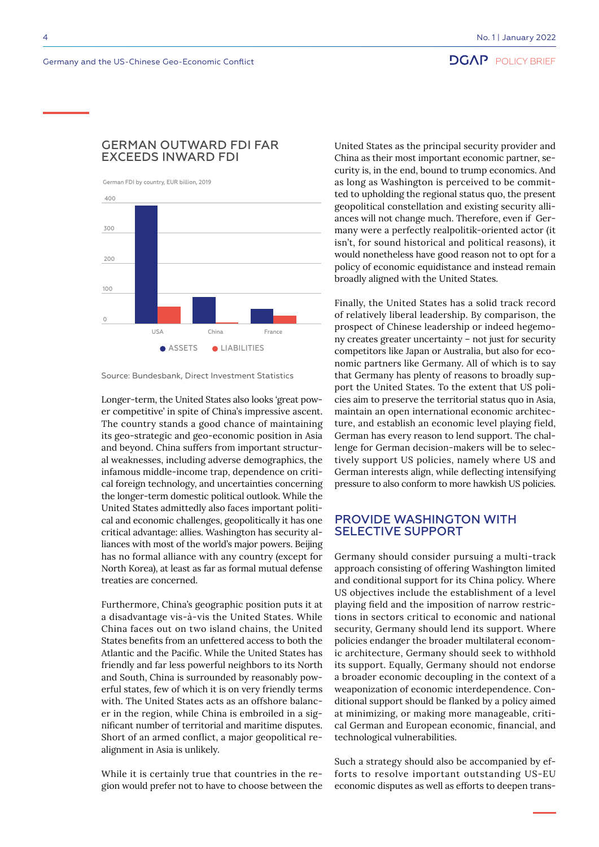## **DGAP** POLICY BRIEF

#### GERMAN OUTWARD FDI FAR EXCEEDS INWARD FDI

German FDI by country, EUR billion, 2019



Source: Bundesbank, Direct Investment Statistics

Longer-term, the United States also looks 'great power competitive' in spite of China's impressive ascent. The country stands a good chance of maintaining its geo-strategic and geo-economic position in Asia and beyond. China suffers from important structural weaknesses, including adverse demographics, the infamous middle-income trap, dependence on critical foreign technology, and uncertainties concerning the longer-term domestic political outlook. While the United States admittedly also faces important political and economic challenges, geopolitically it has one critical advantage: allies. Washington has security alliances with most of the world's major powers. Beijing has no formal alliance with any country (except for North Korea), at least as far as formal mutual defense treaties are concerned.

Furthermore, China's geographic position puts it at a disadvantage vis-à-vis the United States. While China faces out on two island chains, the United States benefits from an unfettered access to both the Atlantic and the Pacific. While the United States has friendly and far less powerful neighbors to its North and South, China is surrounded by reasonably powerful states, few of which it is on very friendly terms with. The United States acts as an offshore balancer in the region, while China is embroiled in a significant number of territorial and maritime disputes. Short of an armed conflict, a major geopolitical realignment in Asia is unlikely.

While it is certainly true that countries in the region would prefer not to have to choose between the

United States as the principal security provider and China as their most important economic partner, security is, in the end, bound to trump economics. And as long as Washington is perceived to be committed to upholding the regional status quo, the present geopolitical constellation and existing security alliances will not change much. Therefore, even if Germany were a perfectly realpolitik-oriented actor (it isn't, for sound historical and political reasons), it would nonetheless have good reason not to opt for a policy of economic equidistance and instead remain broadly aligned with the United States.

Finally, the United States has a solid track record of relatively liberal leadership. By comparison, the prospect of Chinese leadership or indeed hegemony creates greater uncertainty – not just for security competitors like Japan or Australia, but also for economic partners like Germany. All of which is to say that Germany has plenty of reasons to broadly support the United States. To the extent that US policies aim to preserve the territorial status quo in Asia, maintain an open international economic architecture, and establish an economic level playing field, German has every reason to lend support. The challenge for German decision-makers will be to selectively support US policies, namely where US and German interests align, while deflecting intensifying pressure to also conform to more hawkish US policies.

#### PROVIDE WASHINGTON WITH SELECTIVE SUPPORT

Germany should consider pursuing a multi-track approach consisting of offering Washington limited and conditional support for its China policy. Where US objectives include the establishment of a level playing field and the imposition of narrow restrictions in sectors critical to economic and national security, Germany should lend its support. Where policies endanger the broader multilateral economic architecture, Germany should seek to withhold its support. Equally, Germany should not endorse a broader economic decoupling in the context of a weaponization of economic interdependence. Conditional support should be flanked by a policy aimed at minimizing, or making more manageable, critical German and European economic, financial, and technological vulnerabilities.

Such a strategy should also be accompanied by efforts to resolve important outstanding US-EU economic disputes as well as efforts to deepen trans-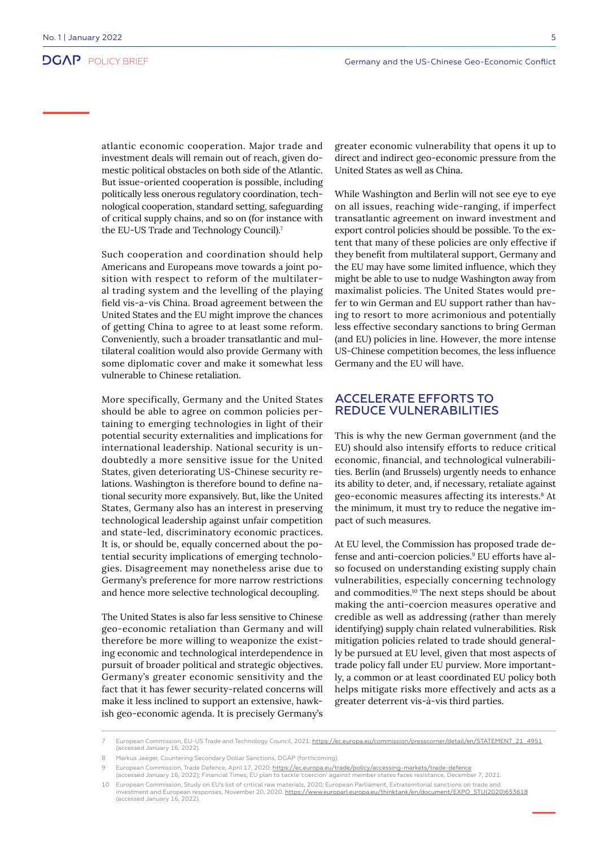atlantic economic cooperation. Major trade and investment deals will remain out of reach, given domestic political obstacles on both side of the Atlantic. But issue-oriented cooperation is possible, including politically less onerous regulatory coordination, technological cooperation, standard setting, safeguarding of critical supply chains, and so on (for instance with the EU-US Trade and Technology Council).7

Such cooperation and coordination should help Americans and Europeans move towards a joint position with respect to reform of the multilateral trading system and the levelling of the playing field vis-a-vis China. Broad agreement between the United States and the EU might improve the chances of getting China to agree to at least some reform. Conveniently, such a broader transatlantic and multilateral coalition would also provide Germany with some diplomatic cover and make it somewhat less vulnerable to Chinese retaliation.

More specifically, Germany and the United States should be able to agree on common policies pertaining to emerging technologies in light of their potential security externalities and implications for international leadership. National security is undoubtedly a more sensitive issue for the United States, given deteriorating US-Chinese security relations. Washington is therefore bound to define national security more expansively. But, like the United States, Germany also has an interest in preserving technological leadership against unfair competition and state-led, discriminatory economic practices. It is, or should be, equally concerned about the potential security implications of emerging technologies. Disagreement may nonetheless arise due to Germany's preference for more narrow restrictions and hence more selective technological decoupling.

The United States is also far less sensitive to Chinese geo-economic retaliation than Germany and will therefore be more willing to weaponize the existing economic and technological interdependence in pursuit of broader political and strategic objectives. Germany's greater economic sensitivity and the fact that it has fewer security-related concerns will make it less inclined to support an extensive, hawkish geo-economic agenda. It is precisely Germany's greater economic vulnerability that opens it up to direct and indirect geo-economic pressure from the United States as well as China.

While Washington and Berlin will not see eye to eye on all issues, reaching wide-ranging, if imperfect transatlantic agreement on inward investment and export control policies should be possible. To the extent that many of these policies are only effective if they benefit from multilateral support, Germany and the EU may have some limited influence, which they might be able to use to nudge Washington away from maximalist policies. The United States would prefer to win German and EU support rather than having to resort to more acrimonious and potentially less effective secondary sanctions to bring German (and EU) policies in line. However, the more intense US-Chinese competition becomes, the less influence Germany and the EU will have.

#### ACCELERATE EFFORTS TO REDUCE VULNERABILITIES

This is why the new German government (and the EU) should also intensify efforts to reduce critical economic, financial, and technological vulnerabilities. Berlin (and Brussels) urgently needs to enhance its ability to deter, and, if necessary, retaliate against geo-economic measures affecting its interests.8 At the minimum, it must try to reduce the negative impact of such measures.

At EU level, the Commission has proposed trade defense and anti-coercion policies.<sup>9</sup> EU efforts have also focused on understanding existing supply chain vulnerabilities, especially concerning technology and commodities.10 The next steps should be about making the anti-coercion measures operative and credible as well as addressing (rather than merely identifying) supply chain related vulnerabilities. Risk mitigation policies related to trade should generally be pursued at EU level, given that most aspects of trade policy fall under EU purview. More importantly, a common or at least coordinated EU policy both helps mitigate risks more effectively and acts as a greater deterrent vis-à-vis third parties.

European Commission, Trade Defence, April 17, 2020: <https://ec.europa.eu/trade/policy/accessing-markets/trade-defence>

<sup>7</sup> European Commission, EU-US Trade and Technology Council, 2021: <u>https://ec.europa.eu/commission/presscorner/detail/en/STATEMENT\_21\_4951</u><br>(accessed January 16, 2022).

<sup>8</sup> Markus Jaeger, Countering Secondary Dollar Sanctions, DGAP (forthcoming).

<sup>(</sup>accessed January 16, 2022); Financial Times, EU plan to tackle 'coercion' against member states faces resistance, December 7, 2021. 10 European Commission, Study on EU's list of critical raw materials, 2020; European Parliament, Extraterritorial sanctions on trade and

investment and European responses, November 20, 2020. <u>https://www.europarl.europa.eu/thinktank/en/document/EXPO\_STU(2020)653618</u> (accessed January 16, 2022).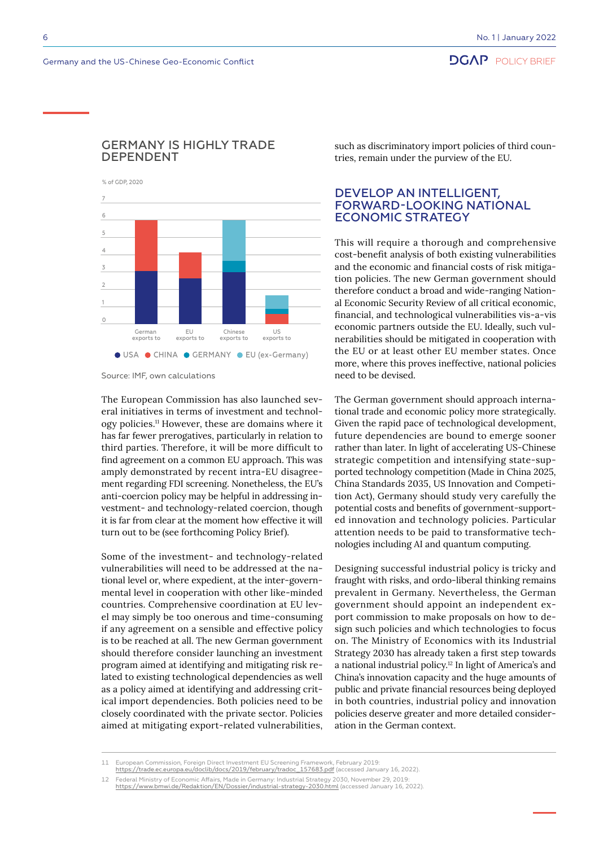**DGAP** POLICY BRIEF

### GERMANY IS HIGHLY TRADE DEPENDENT

% of GDP, 2020



Source: IMF, own calculations

The European Commission has also launched several initiatives in terms of investment and technology policies.11 However, these are domains where it has far fewer prerogatives, particularly in relation to third parties. Therefore, it will be more difficult to find agreement on a common EU approach. This was amply demonstrated by recent intra-EU disagreement regarding FDI screening. Nonetheless, the EU's anti-coercion policy may be helpful in addressing investment- and technology-related coercion, though it is far from clear at the moment how effective it will turn out to be (see forthcoming Policy Brief).

Some of the investment- and technology-related vulnerabilities will need to be addressed at the national level or, where expedient, at the inter-governmental level in cooperation with other like-minded countries. Comprehensive coordination at EU level may simply be too onerous and time-consuming if any agreement on a sensible and effective policy is to be reached at all. The new German government should therefore consider launching an investment program aimed at identifying and mitigating risk related to existing technological dependencies as well as a policy aimed at identifying and addressing critical import dependencies. Both policies need to be closely coordinated with the private sector. Policies aimed at mitigating export-related vulnerabilities, such as discriminatory import policies of third countries, remain under the purview of the EU.

### DEVELOP AN INTELLIGENT, FORWARD-LOOKING NATIONAL ECONOMIC STRATEGY

This will require a thorough and comprehensive cost-benefit analysis of both existing vulnerabilities and the economic and financial costs of risk mitigation policies. The new German government should therefore conduct a broad and wide-ranging National Economic Security Review of all critical economic, financial, and technological vulnerabilities vis-a-vis economic partners outside the EU. Ideally, such vulnerabilities should be mitigated in cooperation with the EU or at least other EU member states. Once more, where this proves ineffective, national policies need to be devised.

The German government should approach international trade and economic policy more strategically. Given the rapid pace of technological development, future dependencies are bound to emerge sooner rather than later. In light of accelerating US-Chinese strategic competition and intensifying state-supported technology competition (Made in China 2025, China Standards 2035, US Innovation and Competition Act), Germany should study very carefully the potential costs and benefits of government-supported innovation and technology policies. Particular attention needs to be paid to transformative technologies including AI and quantum computing.

Designing successful industrial policy is tricky and fraught with risks, and ordo-liberal thinking remains prevalent in Germany. Nevertheless, the German government should appoint an independent export commission to make proposals on how to design such policies and which technologies to focus on. The Ministry of Economics with its Industrial Strategy 2030 has already taken a first step towards a national industrial policy.12 In light of America's and China's innovation capacity and the huge amounts of public and private financial resources being deployed in both countries, industrial policy and innovation policies deserve greater and more detailed consideration in the German context.

<sup>11</sup> European Commission, Foreign Direct Investment EU Screening Framework, February 2019:

[https://trade.ec.europa.eu/doclib/docs/2019/february/tradoc\\_157683.pdf](https://trade.ec.europa.eu/doclib/docs/2019/february/tradoc_157683.pdf) (accessed January 16, 2022).

<sup>12</sup> Federal Ministry of Economic Affairs, Made in Germany: Industrial Strategy 2030, November 29, 2019: <https://www.bmwi.de/Redaktion/EN/Dossier/industrial-strategy-2030.html>(accessed January 16, 2022).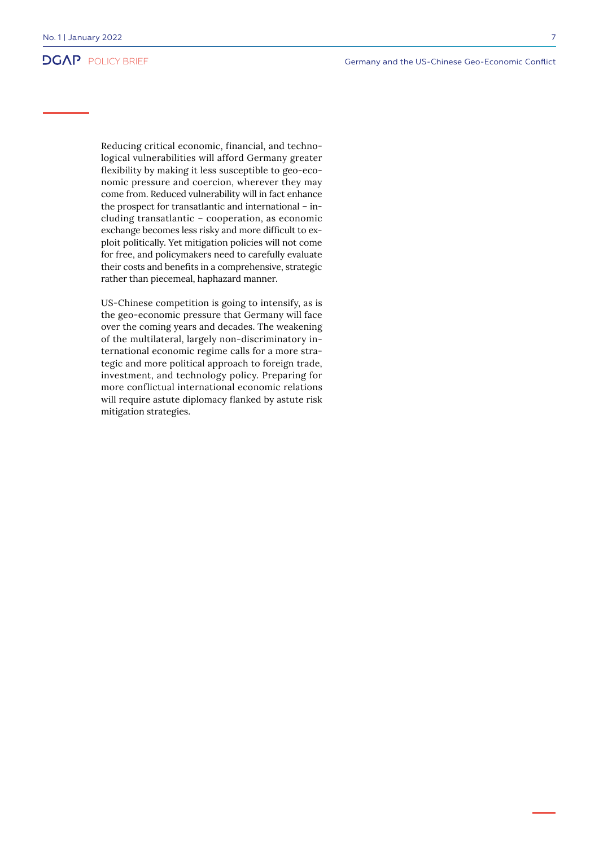Reducing critical economic, financial, and technological vulnerabilities will afford Germany greater flexibility by making it less susceptible to geo-economic pressure and coercion, wherever they may come from. Reduced vulnerability will in fact enhance the prospect for transatlantic and international – including transatlantic – cooperation, as economic exchange becomes less risky and more difficult to exploit politically. Yet mitigation policies will not come for free, and policymakers need to carefully evaluate their costs and benefits in a comprehensive, strategic rather than piecemeal, haphazard manner.

US-Chinese competition is going to intensify, as is the geo-economic pressure that Germany will face over the coming years and decades. The weakening of the multilateral, largely non-discriminatory international economic regime calls for a more strategic and more political approach to foreign trade, investment, and technology policy. Preparing for more conflictual international economic relations will require astute diplomacy flanked by astute risk mitigation strategies.